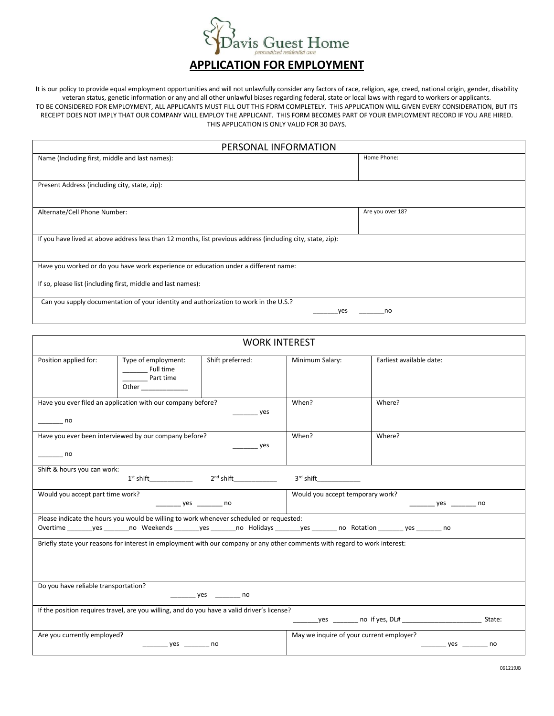

## **APPLICATION FOR EMPLOYMENT**

It is our policy to provide equal employment opportunities and will not unlawfully consider any factors of race, religion, age, creed, national origin, gender, disability veteran status, genetic information or any and all other unlawful biases regarding federal, state or local laws with regard to workers or applicants. TO BE CONSIDERED FOR EMPLOYMENT, ALL APPLICANTS MUST FILL OUT THIS FORM COMPLETELY. THIS APPLICATION WILL GIVEN EVERY CONSIDERATION, BUT ITS RECEIPT DOES NOT IMPLY THAT OUR COMPANY WILL EMPLOY THE APPLICANT. THIS FORM BECOMES PART OF YOUR EMPLOYMENT RECORD IF YOU ARE HIRED. THIS APPLICATION IS ONLY VALID FOR 30 DAYS.

|  | PERSONAL INFORMATION |
|--|----------------------|
|--|----------------------|

| Name (Including first, middle and last names):                                                              | Home Phone:      |
|-------------------------------------------------------------------------------------------------------------|------------------|
|                                                                                                             |                  |
|                                                                                                             |                  |
| Present Address (including city, state, zip):                                                               |                  |
|                                                                                                             |                  |
|                                                                                                             |                  |
| Alternate/Cell Phone Number:                                                                                | Are you over 18? |
|                                                                                                             |                  |
|                                                                                                             |                  |
| If you have lived at above address less than 12 months, list previous address (including city, state, zip): |                  |
|                                                                                                             |                  |
|                                                                                                             |                  |
| Have you worked or do you have work experience or education under a different name:                         |                  |
|                                                                                                             |                  |
| If so, please list (including first, middle and last names):                                                |                  |
|                                                                                                             |                  |
| Can you supply documentation of your identity and authorization to work in the U.S.?                        |                  |
| ves                                                                                                         | no               |

|                                                                                                                                                            |                                                                                             | <b>WORK INTEREST</b> |                                          |                          |        |
|------------------------------------------------------------------------------------------------------------------------------------------------------------|---------------------------------------------------------------------------------------------|----------------------|------------------------------------------|--------------------------|--------|
| Position applied for:                                                                                                                                      | Type of employment:<br><b>Full time</b><br><b>Part time</b><br>Other _______________        | Shift preferred:     | Minimum Salary:                          | Earliest available date: |        |
| $\frac{1}{\sqrt{1-\frac{1}{2}}}\log \frac{1}{2}$                                                                                                           | Have you ever filed an application with our company before?                                 | yes                  | When?                                    | Where?                   |        |
| <u>no</u>                                                                                                                                                  | Have you ever been interviewed by our company before?                                       | yes                  | When?                                    | Where?                   |        |
| Shift & hours you can work:                                                                                                                                |                                                                                             |                      | $3rd$ shift_________________             |                          |        |
| Would you accept part time work?<br>Would you accept temporary work?<br>yes no<br>$\frac{1}{2}$ yes $\frac{1}{2}$ no                                       |                                                                                             |                      |                                          |                          |        |
| Please indicate the hours you would be willing to work whenever scheduled or requested:<br>Overtime yes no Weekends yes no Holidays yes no Rotation yes no |                                                                                             |                      |                                          |                          |        |
| Briefly state your reasons for interest in employment with our company or any other comments with regard to work interest:                                 |                                                                                             |                      |                                          |                          |        |
| Do you have reliable transportation?<br>yes no                                                                                                             |                                                                                             |                      |                                          |                          |        |
|                                                                                                                                                            | If the position requires travel, are you willing, and do you have a valid driver's license? |                      |                                          |                          |        |
| Are you currently employed?                                                                                                                                | yes no                                                                                      |                      | May we inquire of your current employer? |                          | yes no |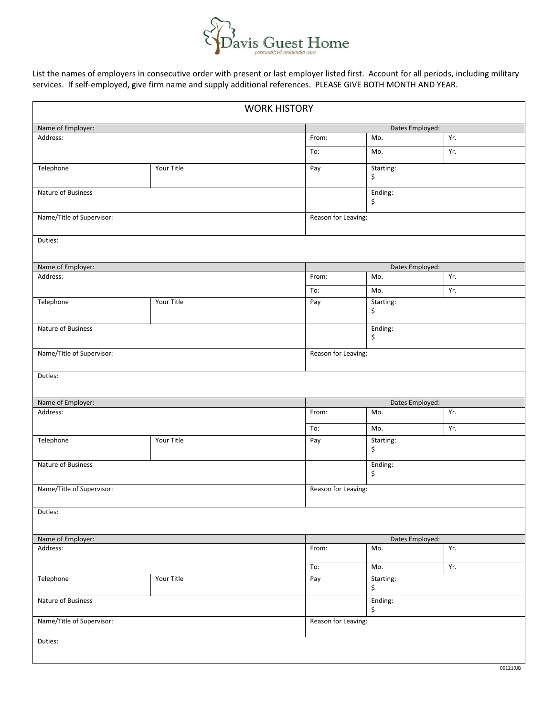

List the names of employers in consecutive order with present or last employer listed first. Account for all periods, including military services. If self-employed, give firm name and supply additional references. PLEASE GIVE BOTH MONTH AND YEAR.

|                           | <b>WORK HISTORY</b> |                     |                 |     |
|---------------------------|---------------------|---------------------|-----------------|-----|
| Name of Employer:         |                     |                     | Dates Employed: |     |
| Address:                  |                     | From:               | Mo.             | Yr. |
|                           |                     | To:                 | Mo.             | Yr. |
| Telephone                 | Your Title          | Pay                 | Starting:<br>\$ |     |
| Nature of Business        |                     |                     | Ending:<br>\$   |     |
| Name/Title of Supervisor: |                     | Reason for Leaving: |                 |     |
| Duties:                   |                     |                     |                 |     |
| Name of Employer:         |                     |                     | Dates Employed: |     |
| Address:                  |                     | From:               | Mo.             | Yr. |
|                           |                     | To:                 | Mo.             | Yr. |
|                           | Your Title          |                     |                 |     |
| Telephone                 |                     | Pay                 | Starting:<br>\$ |     |
| Nature of Business        |                     |                     | Ending:<br>\$   |     |
| Name/Title of Supervisor: |                     | Reason for Leaving: |                 |     |
| Duties:                   |                     |                     |                 |     |
| Name of Employer:         |                     |                     | Dates Employed: |     |
| Address:                  |                     | From:               | Mo.             | Yr. |
|                           |                     | To:                 | Mo.             | Yr. |
| Telephone                 | Your Title          | Pay                 | Starting:<br>\$ |     |
| Nature of Business        |                     |                     | Ending:<br>\$   |     |
| Name/Title of Supervisor: |                     | Reason for Leaving: |                 |     |
| Duties:                   |                     |                     |                 |     |
| Name of Employer:         |                     |                     | Dates Employed: |     |
| Address:                  |                     | From:               | Mo.             | Yr. |
|                           |                     | To:                 | Mo.             | Yr. |
| Telephone                 | Your Title          | Pay                 | Starting:<br>\$ |     |
| Nature of Business        |                     |                     | Ending:<br>\$   |     |
| Name/Title of Supervisor: |                     | Reason for Leaving: |                 |     |
| Duties:                   |                     |                     |                 |     |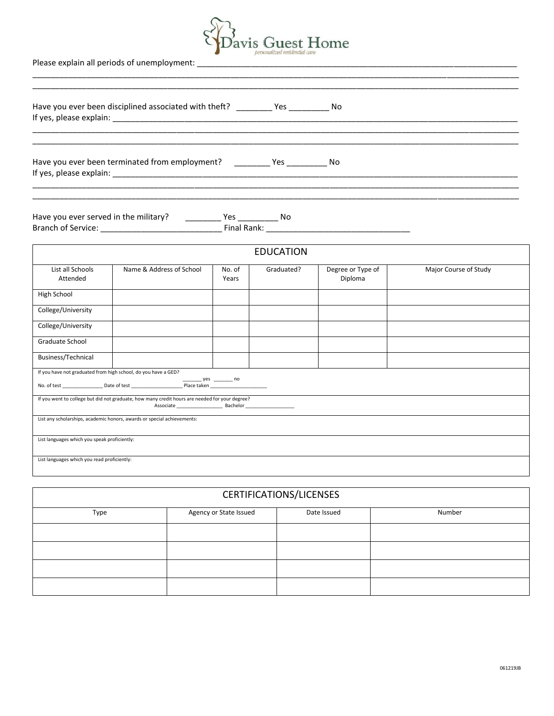# $\beta$ avis Guest Home

\_\_\_\_\_\_\_\_\_\_\_\_\_\_\_\_\_\_\_\_\_\_\_\_\_\_\_\_\_\_\_\_\_\_\_\_\_\_\_\_\_\_\_\_\_\_\_\_\_\_\_\_\_\_\_\_\_\_\_\_\_\_\_\_\_\_\_\_\_\_\_\_\_\_\_\_\_\_\_\_\_\_\_\_\_\_\_\_\_\_\_\_\_\_\_\_\_\_\_\_\_\_\_\_\_\_\_\_

Please explain all periods of unemployment:

| Have you ever been terminated from employment? The Yes No |
|-----------------------------------------------------------|
|                                                           |

Have you ever served in the military? \_\_\_\_\_\_\_\_\_\_ Yes \_\_\_\_\_\_\_\_\_\_\_ No Branch of Service: \_\_\_\_\_\_\_\_\_\_\_\_\_\_\_\_\_\_\_\_\_\_\_\_\_\_\_ Final Rank: \_\_\_\_\_\_\_\_\_\_\_\_\_\_\_\_\_\_\_\_\_\_\_\_\_\_\_\_\_\_\_\_

|                                                                                                                      |                          |                 | <b>EDUCATION</b> |                              |                       |
|----------------------------------------------------------------------------------------------------------------------|--------------------------|-----------------|------------------|------------------------------|-----------------------|
| List all Schools<br>Attended                                                                                         | Name & Address of School | No. of<br>Years | Graduated?       | Degree or Type of<br>Diploma | Major Course of Study |
| High School                                                                                                          |                          |                 |                  |                              |                       |
| College/University                                                                                                   |                          |                 |                  |                              |                       |
| College/University                                                                                                   |                          |                 |                  |                              |                       |
| Graduate School                                                                                                      |                          |                 |                  |                              |                       |
| Business/Technical                                                                                                   |                          |                 |                  |                              |                       |
| If you have not graduated from high school, do you have a GED?                                                       |                          |                 |                  |                              |                       |
| If you went to college but did not graduate, how many credit hours are needed for your degree?<br>Associate Bachelor |                          |                 |                  |                              |                       |
| List any scholarships, academic honors, awards or special achievements:                                              |                          |                 |                  |                              |                       |
| List languages which you speak proficiently:                                                                         |                          |                 |                  |                              |                       |
| List languages which you read proficiently:                                                                          |                          |                 |                  |                              |                       |

|      |                        | CERTIFICATIONS/LICENSES |        |
|------|------------------------|-------------------------|--------|
| Type | Agency or State Issued | Date Issued             | Number |
|      |                        |                         |        |
|      |                        |                         |        |
|      |                        |                         |        |
|      |                        |                         |        |